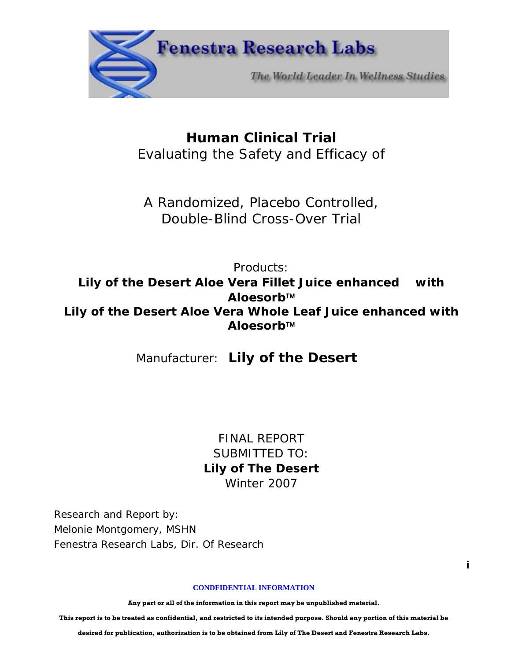

**Human Clinical Trial**  Evaluating the Safety and Efficacy of

A Randomized, Placebo Controlled, Double-Blind Cross-Over Trial

Products: **Lily of the Desert Aloe Vera Fillet Juice enhanced with Aloesorb Lily of the Desert Aloe Vera Whole Leaf Juice enhanced with Aloesorb**

Manufacturer: **Lily of the Desert** 

FINAL REPORT SUBMITTED TO: **Lily of The Desert**  Winter 2007

Research and Report by: Melonie Montgomery, MSHN Fenestra Research Labs, Dir. Of Research

**CONDFIDENTIAL INFORMATION** 

**i**

**Any part or all of the information in this report may be unpublished material.** 

**This report is to be treated as confidential, and restricted to its intended purpose. Should any portion of this material be** 

**desired for publication, authorization is to be obtained from Lily of The Desert and Fenestra Research Labs.**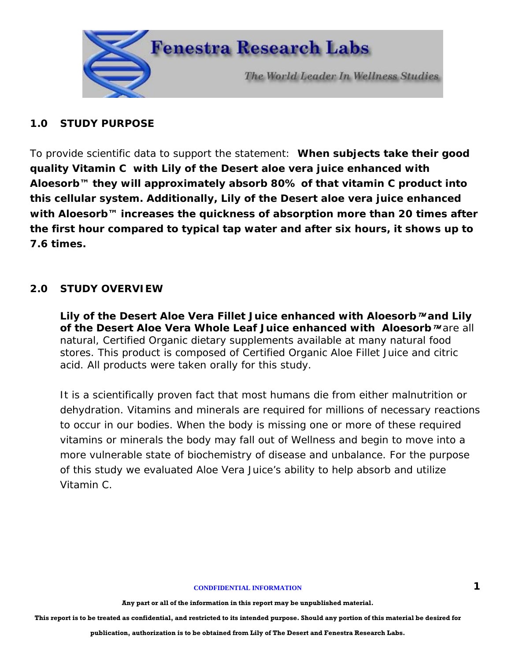

## **1.0 STUDY PURPOSE**

To provide scientific data to support the statement: **When subjects take their good quality Vitamin C with Lily of the Desert aloe vera juice enhanced with Aloesorb™ they will approximately absorb 80% of that vitamin C product into this cellular system. Additionally, Lily of the Desert aloe vera juice enhanced with Aloesorb™ increases the quickness of absorption more than 20 times after the first hour compared to typical tap water and after six hours, it shows up to 7.6 times.** 

## **2.0 STUDY OVERVIEW**

Lily of the Desert Aloe Vera Fillet Juice enhanced with Aloesorb™ and Lily of the Desert Aloe Vera Whole Leaf Juice enhanced with Aloesorb™are all natural, Certified Organic dietary supplements available at many natural food stores. This product is composed of Certified Organic Aloe Fillet Juice and citric acid. All products were taken orally for this study.

It is a scientifically proven fact that most humans die from either malnutrition or dehydration. Vitamins and minerals are required for millions of necessary reactions to occur in our bodies. When the body is missing one or more of these required vitamins or minerals the body may fall out of Wellness and begin to move into a more vulnerable state of biochemistry of disease and unbalance. For the purpose of this study we evaluated Aloe Vera Juice's ability to help absorb and utilize Vitamin C.

#### **CONDFIDENTIAL INFORMATION**

**Any part or all of the information in this report may be unpublished material.**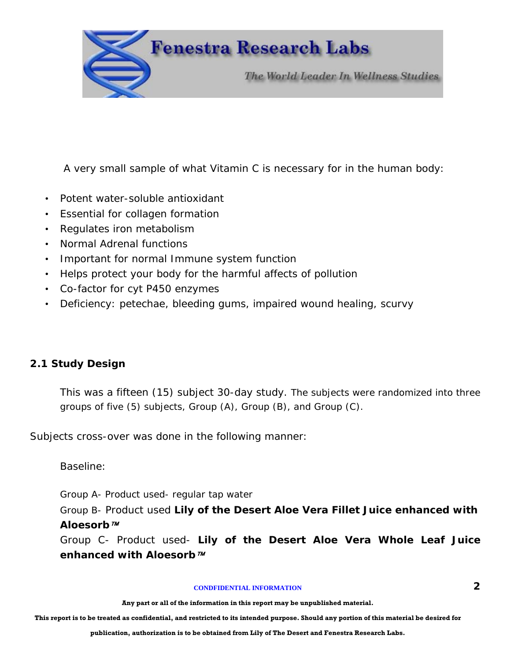

A very small sample of what Vitamin C is necessary for in the human body:

- Potent water-soluble antioxidant
- Essential for collagen formation
- Regulates iron metabolism
- Normal Adrenal functions
- Important for normal Immune system function
- Helps protect your body for the harmful affects of pollution
- Co-factor for cyt P450 enzymes
- Deficiency: petechae, bleeding gums, impaired wound healing, scurvy

## **2.1 Study Design**

This was a fifteen (15) subject 30-day study. The subjects were randomized into three groups of five (5) subjects, Group (A), Group (B), and Group (C).

Subjects cross-over was done in the following manner:

Baseline:

Group A- Product used- regular tap water

Group B- Product used *Lily of the Desert Aloe Vera Fillet Juice enhanced with Aloesorb*

Group C- Product used- *Lily of the Desert Aloe Vera Whole Leaf Juice enhanced with Aloesorb*

#### **CONDFIDENTIAL INFORMATION**

**Any part or all of the information in this report may be unpublished material.** 

**This report is to be treated as confidential, and restricted to its intended purpose. Should any portion of this material be desired for** 

**publication, authorization is to be obtained from Lily of The Desert and Fenestra Research Labs.**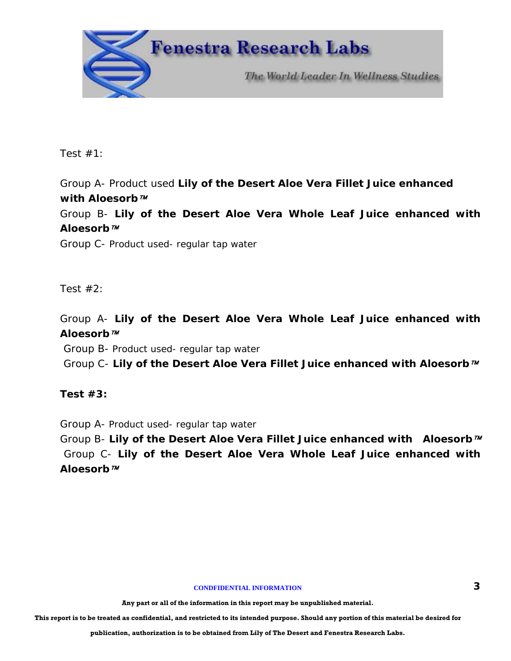

Test  $#1$ :

Group A- Product used *Lily of the Desert Aloe Vera Fillet Juice enhanced with Aloesorb*

Group B- *Lily of the Desert Aloe Vera Whole Leaf Juice enhanced with Aloesorb*

*Group C-* Product used- regular tap water

*Test #2:* 

# *Group A- Lily of the Desert Aloe Vera Whole Leaf Juice enhanced with Aloesorb*

 *Group B-* Product used- regular tap water *Group C- Lily of the Desert Aloe Vera Fillet Juice enhanced with Aloesorb*

## *Test #3:*

*Group A-* Product used- regular tap water

*Group B- Lily of the Desert Aloe Vera Fillet Juice enhanced with Aloesorb Group C- Lily of the Desert Aloe Vera Whole Leaf Juice enhanced with Aloesorb*

**CONDFIDENTIAL INFORMATION**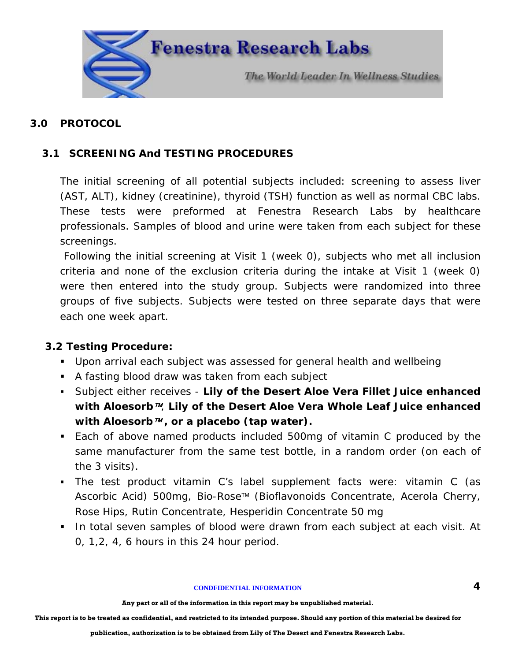

## **3.0 PROTOCOL**

## **3.1 SCREENING And TESTING PROCEDURES**

The initial screening of all potential subjects included: screening to assess liver (AST, ALT), kidney (creatinine), thyroid (TSH) function as well as normal CBC labs. These tests were preformed at Fenestra Research Labs by healthcare professionals. Samples of blood and urine were taken from each subject for these screenings.

Following the initial screening at Visit 1 (week 0), subjects who met all inclusion criteria and none of the exclusion criteria during the intake at Visit 1 (week 0) were then entered into the study group. Subjects were randomized into three groups of five subjects. Subjects were tested on three separate days that were each one week apart.

### **3.2 Testing Procedure:**

- Upon arrival each subject was assessed for general health and wellbeing
- A fasting blood draw was taken from each subject
- Subject either receives *- Lily of the Desert Aloe Vera Fillet Juice enhanced with Aloesorb*, *Lily of the Desert Aloe Vera Whole Leaf Juice enhanced with Aloesorb™*, or a placebo (tap water).
- Each of above named products included 500mg of vitamin C produced by the same manufacturer from the same test bottle, in a random order (on each of the 3 visits).
- The test product vitamin C's label supplement facts were: vitamin C (as Ascorbic Acid) 500mg, Bio-Rose<sup>™</sup> (Bioflavonoids Concentrate, Acerola Cherry, Rose Hips, Rutin Concentrate, Hesperidin Concentrate 50 mg
- In total seven samples of blood were drawn from each subject at each visit. At 0, 1,2, 4, 6 hours in this 24 hour period.

**CONDFIDENTIAL INFORMATION** 

**Any part or all of the information in this report may be unpublished material.**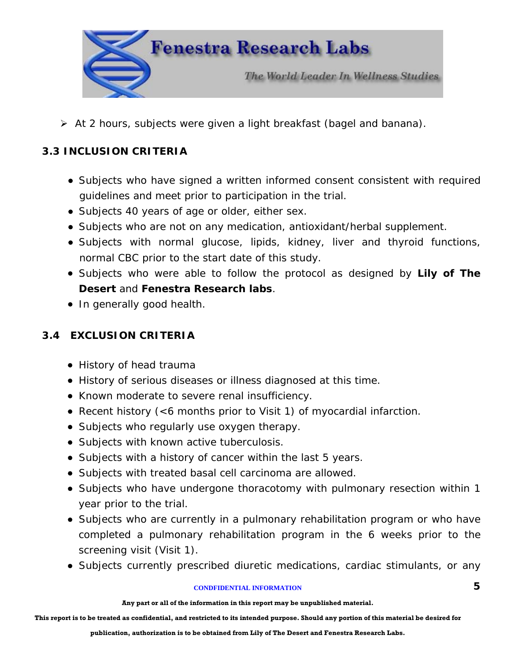

At 2 hours, subjects were given a light breakfast (bagel and banana).

# **3.3 INCLUSION CRITERIA**

- Subjects who have signed a written informed consent consistent with required guidelines and meet prior to participation in the trial.
- Subjects 40 years of age or older, either sex.
- Subjects who are not on any medication, antioxidant/herbal supplement.
- Subjects with normal glucose, lipids, kidney, liver and thyroid functions, normal CBC prior to the start date of this study.
- Subjects who were able to follow the protocol as designed by **Lily of The Desert** and **Fenestra Research labs**.
- In generally good health.

# **3.4 EXCLUSION CRITERIA**

- History of head trauma
- History of serious diseases or illness diagnosed at this time.
- Known moderate to severe renal insufficiency.
- Recent history (<6 months prior to Visit 1) of myocardial infarction.
- Subjects who regularly use oxygen therapy.
- Subjects with known active tuberculosis.
- Subjects with a history of cancer within the last 5 years.
- Subjects with treated basal cell carcinoma are allowed.
- Subjects who have undergone thoracotomy with pulmonary resection within 1 year prior to the trial.
- Subjects who are currently in a pulmonary rehabilitation program or who have completed a pulmonary rehabilitation program in the 6 weeks prior to the screening visit (Visit 1).
- Subjects currently prescribed diuretic medications, cardiac stimulants, or any

#### **CONDFIDENTIAL INFORMATION**

**Any part or all of the information in this report may be unpublished material.**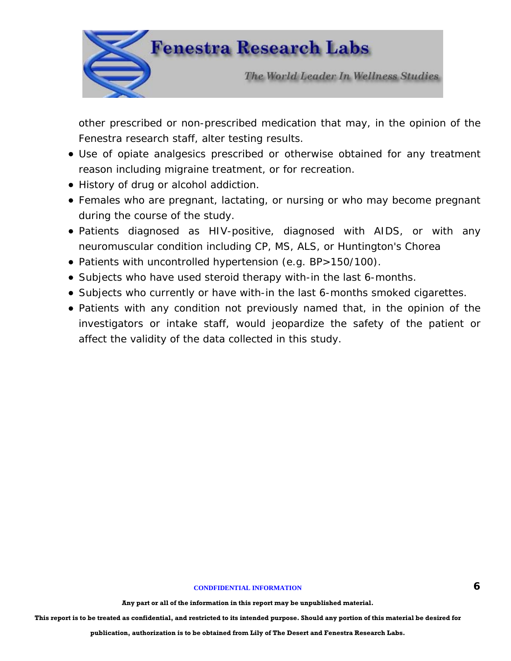**Fenestra Research Labs** 



The World Leader In Wellness Studies

other prescribed or non-prescribed medication that may, in the opinion of the Fenestra research staff, alter testing results.

- Use of opiate analgesics prescribed or otherwise obtained for any treatment reason including migraine treatment, or for recreation.
- History of drug or alcohol addiction.
- Females who are pregnant, lactating, or nursing or who may become pregnant during the course of the study.
- Patients diagnosed as HIV-positive, diagnosed with AIDS, or with any neuromuscular condition including CP, MS, ALS, or Huntington's Chorea
- Patients with uncontrolled hypertension (*e.g.* BP>150/100).
- Subjects who have used steroid therapy with-in the last 6-months.
- Subjects who currently or have with-in the last 6-months smoked cigarettes.
- Patients with any condition not previously named that, in the opinion of the investigators or intake staff, would jeopardize the safety of the patient or affect the validity of the data collected in this study.

#### **CONDFIDENTIAL INFORMATION**

**Any part or all of the information in this report may be unpublished material.**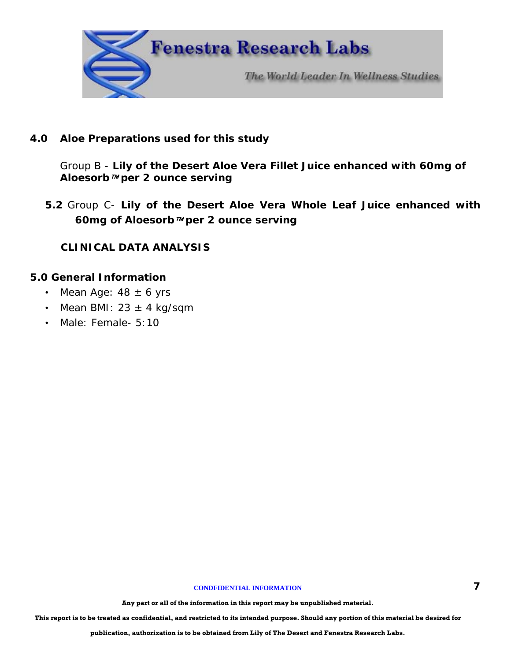

## **4.0 Aloe Preparations used for this study**

Group B - *Lily of the Desert Aloe Vera Fillet Juice enhanced with 60mg of Aloesorb<sup>™</sup> per 2 ounce serving* 

**5.2** Group C- *Lily of the Desert Aloe Vera Whole Leaf Juice enhanced with*  60mg of Aloesorb<sup>™</sup> per 2 ounce serving

## **CLINICAL DATA ANALYSIS**

## **5.0 General Information**

- Mean Age:  $48 \pm 6$  yrs
- Mean BMI:  $23 \pm 4$  kg/sqm
- Male: Female- 5:10

#### **CONDFIDENTIAL INFORMATION**

**Any part or all of the information in this report may be unpublished material.**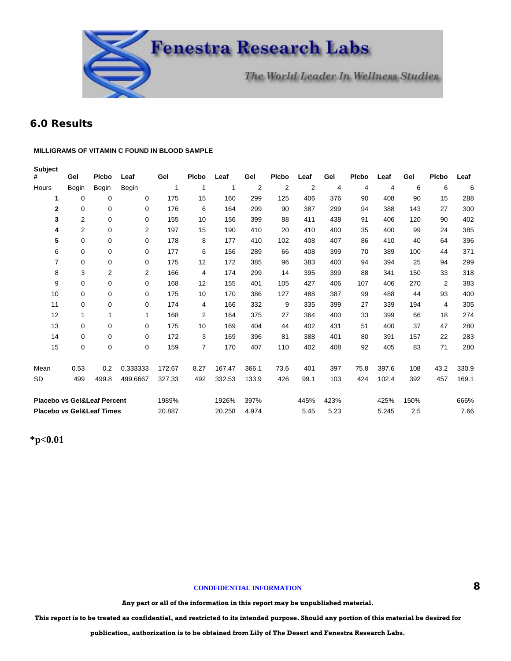**Fenestra Research Labs** 

The World Leader In Wellness Studies

# **6.0 Results**

#### **MILLIGRAMS OF VITAMIN C FOUND IN BLOOD SAMPLE**

| <b>Subject</b><br>#                    | Gel   | <b>Picbo</b> | Leaf           | Gel    | <b>Picbo</b> | Leaf   | Gel            | <b>Picbo</b>   | Leaf           | Gel  | <b>Plcbo</b> | Leaf  | Gel  | <b>Picbo</b> | Leaf  |
|----------------------------------------|-------|--------------|----------------|--------|--------------|--------|----------------|----------------|----------------|------|--------------|-------|------|--------------|-------|
| Hours                                  | Begin | Begin        | Begin          | 1      | $\mathbf{1}$ | 1      | $\overline{2}$ | $\overline{2}$ | $\overline{2}$ | 4    | 4            | 4     | 6    | 6            | 6     |
| 1                                      | 0     | 0            | 0              | 175    | 15           | 160    | 299            | 125            | 406            | 376  | 90           | 408   | 90   | 15           | 288   |
| 2                                      | 0     | 0            | 0              | 176    | 6            | 164    | 299            | 90             | 387            | 299  | 94           | 388   | 143  | 27           | 300   |
| 3                                      | 2     | 0            | 0              | 155    | 10           | 156    | 399            | 88             | 411            | 438  | 91           | 406   | 120  | 90           | 402   |
| 4                                      | 2     | 0            | $\overline{2}$ | 197    | 15           | 190    | 410            | 20             | 410            | 400  | 35           | 400   | 99   | 24           | 385   |
| 5                                      | 0     | 0            | 0              | 178    | 8            | 177    | 410            | 102            | 408            | 407  | 86           | 410   | 40   | 64           | 396   |
| 6                                      | 0     | 0            | 0              | 177    | 6            | 156    | 289            | 66             | 408            | 399  | 70           | 389   | 100  | 44           | 371   |
| $\overline{7}$                         | 0     | 0            | 0              | 175    | 12           | 172    | 385            | 96             | 383            | 400  | 94           | 394   | 25   | 94           | 299   |
| 8                                      | 3     | 2            | $\overline{2}$ | 166    | 4            | 174    | 299            | 14             | 395            | 399  | 88           | 341   | 150  | 33           | 318   |
| 9                                      | 0     | 0            | 0              | 168    | 12           | 155    | 401            | 105            | 427            | 406  | 107          | 406   | 270  | 2            | 383   |
| 10                                     | 0     | 0            | 0              | 175    | 10           | 170    | 386            | 127            | 488            | 387  | 99           | 488   | 44   | 93           | 400   |
| 11                                     | 0     | 0            | 0              | 174    | 4            | 166    | 332            | 9              | 335            | 399  | 27           | 339   | 194  | 4            | 305   |
| 12                                     | 1     | 1            | 1              | 168    | 2            | 164    | 375            | 27             | 364            | 400  | 33           | 399   | 66   | 18           | 274   |
| 13                                     | 0     | 0            | 0              | 175    | 10           | 169    | 404            | 44             | 402            | 431  | 51           | 400   | 37   | 47           | 280   |
| 14                                     | 0     | 0            | 0              | 172    | 3            | 169    | 396            | 81             | 388            | 401  | 80           | 391   | 157  | 22           | 283   |
| 15                                     | 0     | 0            | 0              | 159    | 7            | 170    | 407            | 110            | 402            | 408  | 92           | 405   | 83   | 71           | 280   |
| Mean                                   | 0.53  | 0.2          | 0.333333       | 172.67 | 8.27         | 167.47 | 366.1          | 73.6           | 401            | 397  | 75.8         | 397.6 | 108  | 43.2         | 330.9 |
| <b>SD</b>                              | 499   | 499.8        | 499.6667       | 327.33 | 492          | 332.53 | 133.9          | 426            | 99.1           | 103  | 424          | 102.4 | 392  | 457          | 169.1 |
| <b>Placebo vs Gel&amp;Leaf Percent</b> |       |              |                | 1989%  |              | 1926%  | 397%           |                | 445%           | 423% |              | 425%  | 150% |              | 666%  |
| <b>Placebo vs Gel&amp;Leaf Times</b>   |       |              |                | 20.887 |              | 20.258 | 4.974          |                | 5.45           | 5.23 |              | 5.245 | 2.5  |              | 7.66  |

**\*p<0.01** 

**CONDFIDENTIAL INFORMATION** 

**Any part or all of the information in this report may be unpublished material.** 

**This report is to be treated as confidential, and restricted to its intended purpose. Should any portion of this material be desired for** 

**publication, authorization is to be obtained from Lily of The Desert and Fenestra Research Labs.**